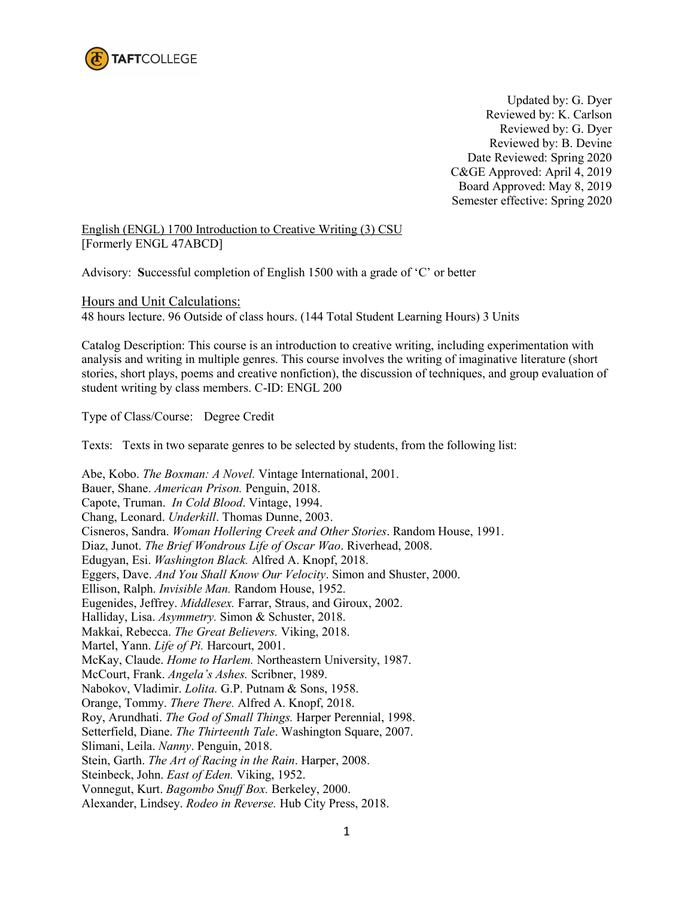

Updated by: G. Dyer Reviewed by: K. Carlson Reviewed by: G. Dyer Reviewed by: B. Devine Date Reviewed: Spring 2020 C&GE Approved: April 4, 2019 Board Approved: May 8, 2019 Semester effective: Spring 2020

English (ENGL) 1700 Introduction to Creative Writing (3) CSU [Formerly ENGL 47ABCD]

Advisory: **S**uccessful completion of English 1500 with a grade of 'C' or better

Hours and Unit Calculations: 48 hours lecture. 96 Outside of class hours. (144 Total Student Learning Hours) 3 Units

Catalog Description: This course is an introduction to creative writing, including experimentation with analysis and writing in multiple genres. This course involves the writing of imaginative literature (short stories, short plays, poems and creative nonfiction), the discussion of techniques, and group evaluation of student writing by class members. C-ID: ENGL 200

Type of Class/Course: Degree Credit

Texts: Texts in two separate genres to be selected by students, from the following list:

Abe, Kobo. *The Boxman: A Novel.* Vintage International, 2001. Bauer, Shane. *American Prison.* Penguin, 2018. Capote, Truman. *In Cold Blood*. Vintage, 1994. Chang, Leonard. *Underkill*. Thomas Dunne, 2003. Cisneros, Sandra. *Woman Hollering Creek and Other Stories*. Random House, 1991. Diaz, Junot. *The Brief Wondrous Life of Oscar Wao*. Riverhead, 2008. Edugyan, Esi. *Washington Black.* Alfred A. Knopf, 2018. Eggers, Dave. *And You Shall Know Our Velocity*. Simon and Shuster, 2000. Ellison, Ralph. *Invisible Man.* Random House, 1952. Eugenides, Jeffrey. *Middlesex.* Farrar, Straus, and Giroux, 2002. Halliday, Lisa. *Asymmetry.* Simon & Schuster, 2018. Makkai, Rebecca. *The Great Believers.* Viking, 2018. Martel, Yann. *Life of Pi.* Harcourt, 2001. McKay, Claude. *Home to Harlem.* Northeastern University, 1987. McCourt, Frank. *Angela's Ashes.* Scribner, 1989. Nabokov, Vladimir. *Lolita.* G.P. Putnam & Sons, 1958. Orange, Tommy. *There There.* Alfred A. Knopf, 2018. Roy, Arundhati. *The God of Small Things.* Harper Perennial, 1998. Setterfield, Diane. *The Thirteenth Tale*. Washington Square, 2007. Slimani, Leila. *Nanny*. Penguin, 2018. Stein, Garth. *The Art of Racing in the Rain*. Harper, 2008. Steinbeck, John. *East of Eden.* Viking, 1952. Vonnegut, Kurt. *Bagombo Snuff Box.* Berkeley, 2000. Alexander, Lindsey. *Rodeo in Reverse.* Hub City Press, 2018.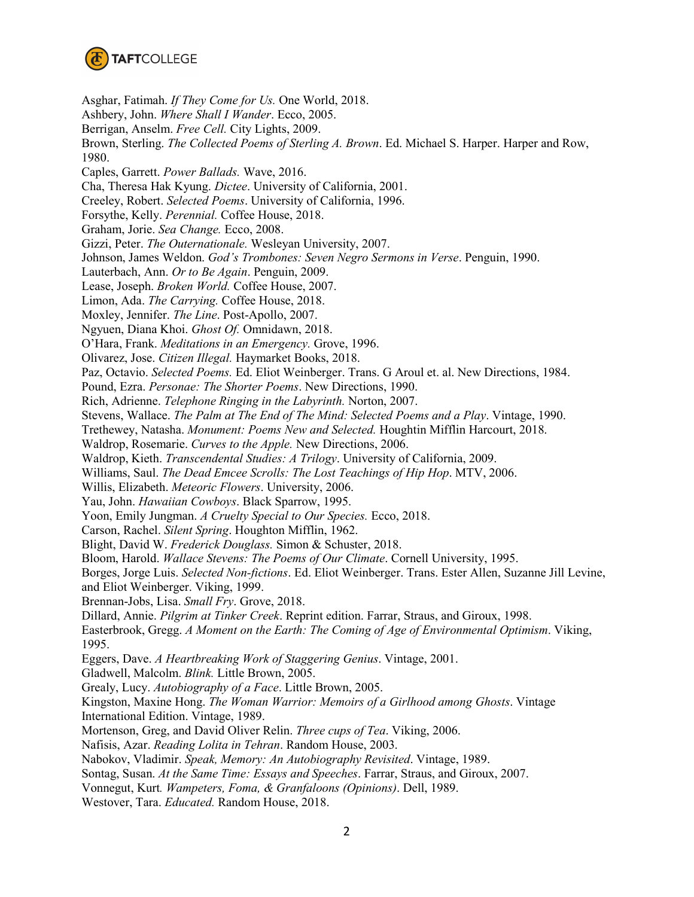

Asghar, Fatimah. *If They Come for Us.* One World, 2018. Ashbery, John. *Where Shall I Wander*. Ecco, 2005. Berrigan, Anselm. *Free Cell.* City Lights, 2009. Brown, Sterling. *The Collected Poems of Sterling A. Brown*. Ed. Michael S. Harper. Harper and Row, 1980. Caples, Garrett. *Power Ballads.* Wave, 2016. Cha, Theresa Hak Kyung. *Dictee*. University of California, 2001. Creeley, Robert. *Selected Poems*. University of California, 1996. Forsythe, Kelly. *Perennial.* Coffee House, 2018. Graham, Jorie. *Sea Change.* Ecco, 2008. Gizzi, Peter. *The Outernationale.* Wesleyan University, 2007. Johnson, James Weldon. *God's Trombones: Seven Negro Sermons in Verse*. Penguin, 1990. Lauterbach, Ann. *Or to Be Again*. Penguin, 2009. Lease, Joseph. *Broken World.* Coffee House, 2007. Limon, Ada. *The Carrying.* Coffee House, 2018. Moxley, Jennifer. *The Line*. Post-Apollo, 2007. Ngyuen, Diana Khoi. *Ghost Of.* Omnidawn, 2018. O'Hara, Frank. *Meditations in an Emergency.* Grove, 1996. Olivarez, Jose. *Citizen Illegal.* Haymarket Books, 2018. Paz, Octavio. *Selected Poems.* Ed. Eliot Weinberger. Trans. G Aroul et. al. New Directions, 1984. Pound, Ezra. *Personae: The Shorter Poems*. New Directions, 1990. Rich, Adrienne. *Telephone Ringing in the Labyrinth.* Norton, 2007. Stevens, Wallace. *The Palm at The End of The Mind: Selected Poems and a Play*. Vintage, 1990. Trethewey, Natasha. *Monument: Poems New and Selected.* Houghtin Mifflin Harcourt, 2018. Waldrop, Rosemarie. *Curves to the Apple.* New Directions, 2006. Waldrop, Kieth. *Transcendental Studies: A Trilogy*. University of California, 2009. Williams, Saul. *The Dead Emcee Scrolls: The Lost Teachings of Hip Hop*. MTV, 2006. Willis, Elizabeth. *Meteoric Flowers*. University, 2006. Yau, John. *Hawaiian Cowboys*. Black Sparrow, 1995. Yoon, Emily Jungman. *A Cruelty Special to Our Species.* Ecco, 2018. Carson, Rachel. *Silent Spring*. Houghton Mifflin, 1962. Blight, David W. *Frederick Douglass.* Simon & Schuster, 2018. Bloom, Harold. *Wallace Stevens: The Poems of Our Climate*. Cornell University, 1995. Borges, Jorge Luis. *Selected Non-fictions*. Ed. Eliot Weinberger. Trans. Ester Allen, Suzanne Jill Levine, and Eliot Weinberger. Viking, 1999. Brennan-Jobs, Lisa. *Small Fry*. Grove, 2018. Dillard, Annie. *Pilgrim at Tinker Creek*. Reprint edition. Farrar, Straus, and Giroux, 1998. Easterbrook, Gregg. *A Moment on the Earth: The Coming of Age of Environmental Optimism*. Viking, 1995. Eggers, Dave. *A Heartbreaking Work of Staggering Genius*. Vintage, 2001. Gladwell, Malcolm. *Blink.* Little Brown, 2005. Grealy, Lucy. *Autobiography of a Face*. Little Brown, 2005. Kingston, Maxine Hong. *The Woman Warrior: Memoirs of a Girlhood among Ghosts*. Vintage International Edition. Vintage, 1989. Mortenson, Greg, and David Oliver Relin. *Three cups of Tea*. Viking, 2006. Nafisis, Azar. *Reading Lolita in Tehran*. Random House, 2003. Nabokov, Vladimir. *Speak, Memory: An Autobiography Revisited*. Vintage, 1989. Sontag, Susan. *At the Same Time: Essays and Speeches*. Farrar, Straus, and Giroux, 2007. Vonnegut, Kurt*. Wampeters, Foma, & Granfaloons (Opinions)*. Dell, 1989. Westover, Tara. *Educated.* Random House, 2018.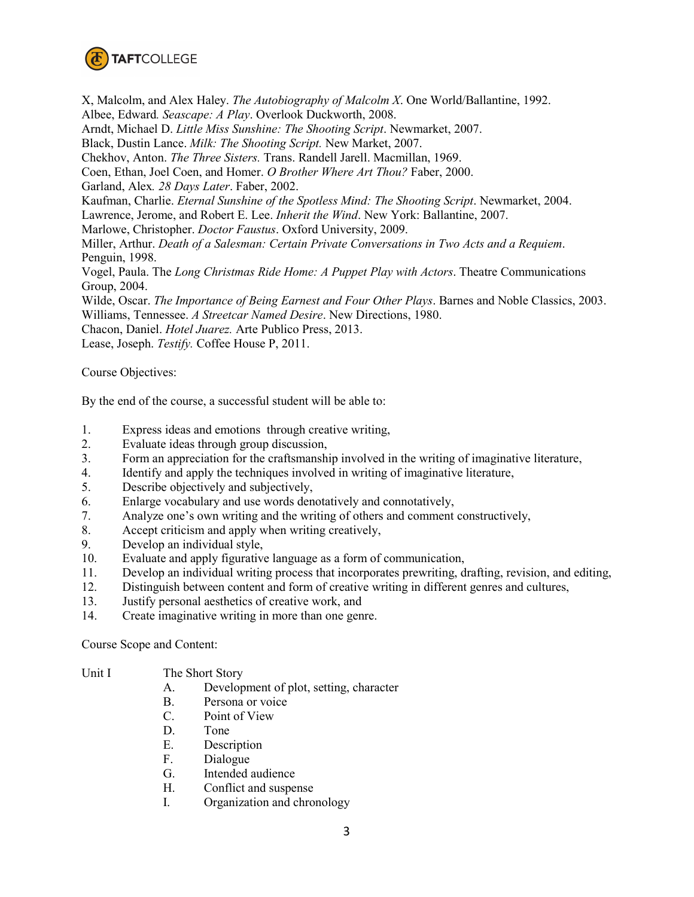

X, Malcolm, and Alex Haley. *The Autobiography of Malcolm X*. One World/Ballantine, 1992. Albee, Edward*. Seascape: A Play*. Overlook Duckworth, 2008. Arndt, Michael D. *Little Miss Sunshine: The Shooting Script*. Newmarket, 2007. Black, Dustin Lance. *Milk: The Shooting Script.* New Market, 2007. Chekhov, Anton. *The Three Sisters.* Trans. Randell Jarell. Macmillan, 1969. Coen, Ethan, Joel Coen, and Homer. *O Brother Where Art Thou?* Faber, 2000. Garland, Alex*. 28 Days Later*. Faber, 2002. Kaufman, Charlie. *Eternal Sunshine of the Spotless Mind: The Shooting Script*. Newmarket, 2004. Lawrence, Jerome, and Robert E. Lee. *Inherit the Wind*. New York: Ballantine, 2007. Marlowe, Christopher. *Doctor Faustus*. Oxford University, 2009. Miller, Arthur. *Death of a Salesman: Certain Private Conversations in Two Acts and a Requiem*. Penguin, 1998. Vogel, Paula. The *Long Christmas Ride Home: A Puppet Play with Actors*. Theatre Communications Group, 2004. Wilde, Oscar. *The Importance of Being Earnest and Four Other Plays*. Barnes and Noble Classics, 2003. Williams, Tennessee. *A Streetcar Named Desire*. New Directions, 1980.

Chacon, Daniel. *Hotel Juarez.* Arte Publico Press, 2013.

Lease, Joseph. *Testify.* Coffee House P, 2011.

Course Objectives:

By the end of the course, a successful student will be able to:

- 1. Express ideas and emotions through creative writing,
- 2. Evaluate ideas through group discussion,
- 3. Form an appreciation for the craftsmanship involved in the writing of imaginative literature,
- 4. Identify and apply the techniques involved in writing of imaginative literature,
- 5. Describe objectively and subjectively,
- 6. Enlarge vocabulary and use words denotatively and connotatively,
- 7. Analyze one's own writing and the writing of others and comment constructively,
- 8. Accept criticism and apply when writing creatively,
- 9. Develop an individual style,
- 10. Evaluate and apply figurative language as a form of communication,
- 11. Develop an individual writing process that incorporates prewriting, drafting, revision, and editing,
- 12. Distinguish between content and form of creative writing in different genres and cultures,
- 13. Justify personal aesthetics of creative work, and
- 14. Create imaginative writing in more than one genre.

Course Scope and Content:

- Unit I The Short Story
	- A. Development of plot, setting, character
	- B. Persona or voice
	- C. Point of View
	- D. Tone
	- E. Description
	- F. Dialogue
	- G. Intended audience
	- H. Conflict and suspense
	- I. Organization and chronology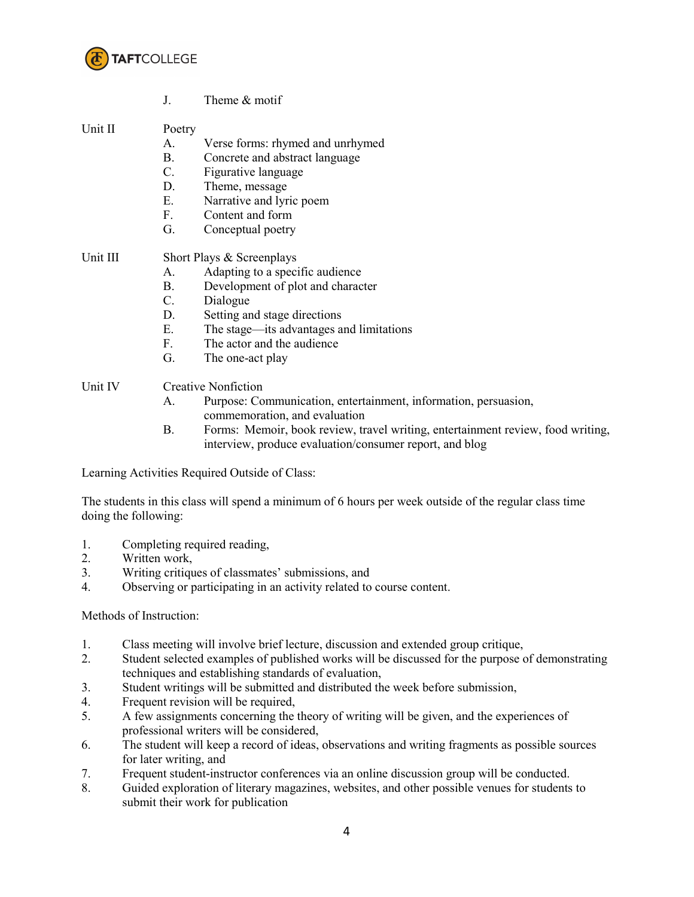

J. Theme & motif

# Unit II Poetry

- A. Verse forms: rhymed and unrhymed
- B. Concrete and abstract language
- C. Figurative language
- D. Theme, message
- E. Narrative and lyric poem
- F. Content and form
- G. Conceptual poetry

# Unit III Short Plays & Screenplays

- A. Adapting to a specific audience
- B. Development of plot and character
- C. Dialogue
- D. Setting and stage directions
- E. The stage—its advantages and limitations
- F. The actor and the audience
- G. The one-act play

# Unit IV Creative Nonfiction

- A. Purpose: Communication, entertainment, information, persuasion, commemoration, and evaluation
- B. Forms: Memoir, book review, travel writing, entertainment review, food writing, interview, produce evaluation/consumer report, and blog

Learning Activities Required Outside of Class:

The students in this class will spend a minimum of 6 hours per week outside of the regular class time doing the following:

- 1. Completing required reading,
- 2. Written work,
- 3. Writing critiques of classmates' submissions, and
- 4. Observing or participating in an activity related to course content.

## Methods of Instruction:

- 1. Class meeting will involve brief lecture, discussion and extended group critique,
- 2. Student selected examples of published works will be discussed for the purpose of demonstrating techniques and establishing standards of evaluation,
- 3. Student writings will be submitted and distributed the week before submission,
- 4. Frequent revision will be required,
- 5. A few assignments concerning the theory of writing will be given, and the experiences of professional writers will be considered,
- 6. The student will keep a record of ideas, observations and writing fragments as possible sources for later writing, and
- 7. Frequent student-instructor conferences via an online discussion group will be conducted.
- 8. Guided exploration of literary magazines, websites, and other possible venues for students to submit their work for publication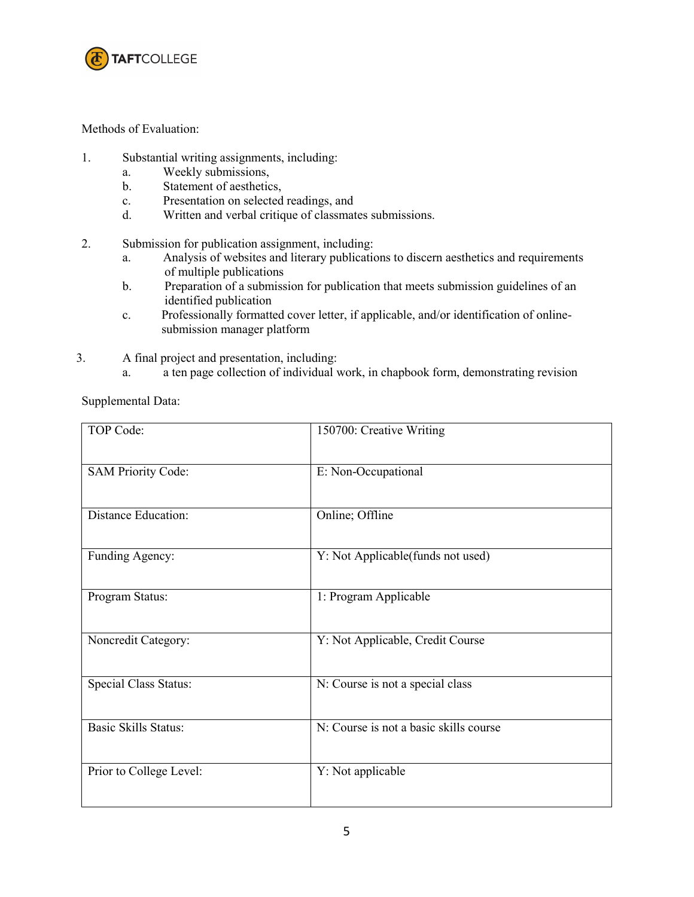

## Methods of Evaluation:

- 1. Substantial writing assignments, including:
	- a. Weekly submissions,
	- b. Statement of aesthetics,
	- c. Presentation on selected readings, and
	- d. Written and verbal critique of classmates submissions.
- 2. Submission for publication assignment, including:
	- a. Analysis of websites and literary publications to discern aesthetics and requirements of multiple publications
	- b. Preparation of a submission for publication that meets submission guidelines of an identified publication
	- c. Professionally formatted cover letter, if applicable, and/or identification of online submission manager platform
- 3. A final project and presentation, including:
	- a. a ten page collection of individual work, in chapbook form, demonstrating revision

Supplemental Data:

| TOP Code:                    | 150700: Creative Writing               |
|------------------------------|----------------------------------------|
| <b>SAM Priority Code:</b>    | E: Non-Occupational                    |
| <b>Distance Education:</b>   | Online; Offline                        |
| Funding Agency:              | Y: Not Applicable(funds not used)      |
| Program Status:              | 1: Program Applicable                  |
| Noncredit Category:          | Y: Not Applicable, Credit Course       |
| <b>Special Class Status:</b> | N: Course is not a special class       |
| <b>Basic Skills Status:</b>  | N: Course is not a basic skills course |
| Prior to College Level:      | Y: Not applicable                      |